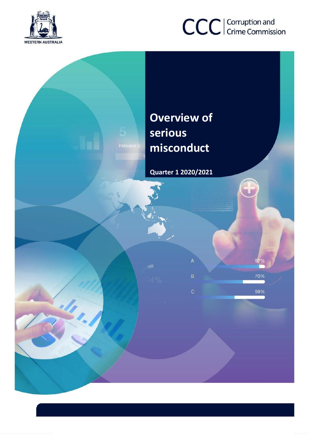



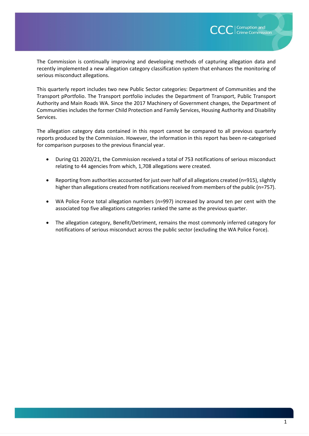The Commission is continually improving and developing methods of capturing allegation data and recently implemented a new allegation category classification system that enhances the monitoring of serious misconduct allegations.

This quarterly report includes two new Public Sector categories: Department of Communities and the Transport pPortfolio. The Transport portfolio includes the Department of Transport, Public Transport Authority and Main Roads WA. Since the 2017 Machinery of Government changes, the Department of Communities includes the former Child Protection and Family Services, Housing Authority and Disability Services.

The allegation category data contained in this report cannot be compared to all previous quarterly reports produced by the Commission. However, the information in this report has been re-categorised for comparison purposes to the previous financial year.

- During Q1 2020/21, the Commission received a total of 753 notifications of serious misconduct relating to 44 agencies from which, 1,708 allegations were created.
- Reporting from authorities accounted for just over half of all allegations created (n=915), slightly higher than allegations created from notifications received from members of the public (n=757).
- WA Police Force total allegation numbers (n=997) increased by around ten per cent with the associated top five allegations categories ranked the same as the previous quarter.
- The allegation category, Benefit/Detriment, remains the most commonly inferred category for notifications of serious misconduct across the public sector (excluding the WA Police Force).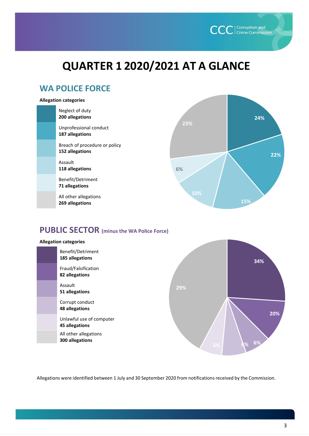

# **QUARTER 1 2020/2021 AT A GLANCE**

# **WA POLICE FORCE**

#### **Allegation categories**

| Neglect of duty<br>200 allegations               |     | 24% |
|--------------------------------------------------|-----|-----|
| Unprofessional conduct<br>187 allegations        | 23% |     |
| Breach of procedure or policy<br>152 allegations |     | 22% |
| Assault<br>118 allegations                       | 6%  |     |
| Benefit/Detriment<br>71 allegations              |     |     |
| All other allegations<br>269 allegations         | 10% | 15% |

# **PUBLIC SECTOR (minus the WA Police Force)**



Allegations were identified between 1 July and 30 September 2020 from notifications received by the Commission.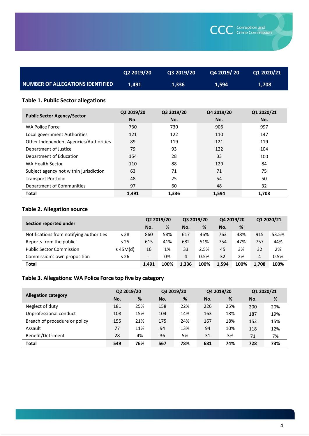|                                         | Q2 2019/20 | Q3 2019/20 | Q4 2019/ 20 \ | Q1 2020/21 |
|-----------------------------------------|------------|------------|---------------|------------|
| <b>NUMBER OF ALLEGATIONS IDENTIFIED</b> | 1.491      | 1.336      | 1.594         | 1,708      |
|                                         |            |            |               |            |

### **Table 1. Public Sector allegations**

| <b>Public Sector Agency/Sector</b>     | Q2 2019/20<br>No. | Q3 2019/20<br>No. | Q4 2019/20<br>No. | Q1 2020/21<br>No. |
|----------------------------------------|-------------------|-------------------|-------------------|-------------------|
| WA Police Force                        | 730               | 730               | 906               | 997               |
| Local government Authorities           | 121               | 122               | 110               | 147               |
| Other Independent Agencies/Authorities | 89                | 119               | 121               | 119               |
| Department of Justice                  | 79                | 93                | 122               | 104               |
| Department of Education                | 154               | 28                | 33                | 100               |
| WA Health Sector                       | 110               | 88                | 129               | 84                |
| Subject agency not within jurisdiction | 63                | 71                | 71                | 75                |
| <b>Transport Portfolio</b>             | 48                | 25                | 54                | 50                |
| Department of Communities              | 97                | 60                | 48                | 32                |
| <b>Total</b>                           | 1.491             | 1.336             | 1.594             | 1.708             |

#### **Table 2. Allegation source**

|                                          | Section reported under |                          | Q2 2019/20 |       | Q3 2019/20 |       | Q4 2019/20 |       | Q1 2020/21 |  |
|------------------------------------------|------------------------|--------------------------|------------|-------|------------|-------|------------|-------|------------|--|
|                                          |                        | No.                      | %          | No.   | %          | No.   | %          |       |            |  |
| Notifications from notifying authorities | s 28                   | 860                      | 58%        | 617   | 46%        | 763   | 48%        | 915   | 53.5%      |  |
| Reports from the public                  | s <sub>25</sub>        | 615                      | 41%        | 682   | 51%        | 754   | 47%        | 757   | 44%        |  |
| <b>Public Sector Commission</b>          | $s$ 45M(d)             | 16                       | 1%         | 33    | 2.5%       | 45    | 3%         | 32    | 2%         |  |
| Commission's own proposition             | s <sub>26</sub>        | $\overline{\phantom{a}}$ | 0%         | 4     | 0.5%       | 32    | 2%         | 4     | 0.5%       |  |
| <b>Total</b>                             |                        | 1.491                    | 100%       | 1.336 | 100%       | 1.594 | 100%       | 1.708 | 100%       |  |

# **Table 3. Allegations: WA Police Force top five by category**

|                               | Q2 2019/20 |     | Q3 2019/20 |     | Q4 2019/20 |     | Q1 2020/21 |     |
|-------------------------------|------------|-----|------------|-----|------------|-----|------------|-----|
| <b>Allegation category</b>    | No.        | %   | No.        | %   | No.        | %   | No.        | %   |
| Neglect of duty               | 181        | 25% | 158        | 22% | 226        | 25% | 200        | 20% |
| Unprofessional conduct        | 108        | 15% | 104        | 14% | 163        | 18% | 187        | 19% |
| Breach of procedure or policy | 155        | 21% | 175        | 24% | 167        | 18% | 152        | 15% |
| Assault                       | 77         | 11% | 94         | 13% | 94         | 10% | 118        | 12% |
| Benefit/Detriment             | 28         | 4%  | 36         | 5%  | 31         | 3%  | 71         | 7%  |
| <b>Total</b>                  | 549        | 76% | 567        | 78% | 681        | 74% | 728        | 73% |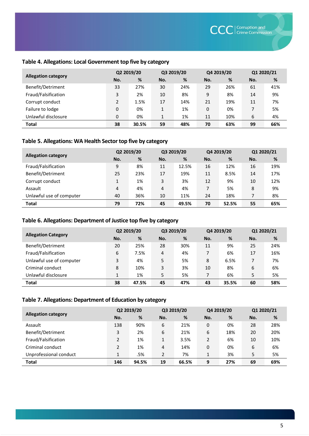#### **Table 4. Allegations: Local Government top five by category**

|                            | Q2 2019/20     |       | Q3 2019/20 |     | Q4 2019/20 |     | Q1 2020/21 |     |
|----------------------------|----------------|-------|------------|-----|------------|-----|------------|-----|
| <b>Allegation category</b> | No.            | %     | No.        | %   | No.        | %   | No.        | %   |
| Benefit/Detriment          | 33             | 27%   | 30         | 24% | 29         | 26% | 61         | 41% |
| Fraud/Falsification        | 3              | 2%    | 10         | 8%  | 9          | 8%  | 14         | 9%  |
| Corrupt conduct            | $\overline{2}$ | 1.5%  | 17         | 14% | 21         | 19% | 11         | 7%  |
| Failure to lodge           | 0              | 0%    | 1          | 1%  | 0          | 0%  |            | 5%  |
| Unlawful disclosure        | 0              | 0%    | 1          | 1%  | 11         | 10% | 6          | 4%  |
| <b>Total</b>               | 38             | 30.5% | 59         | 48% | 70         | 63% | 99         | 66% |

#### **Table 5. Allegations: WA Health Sector top five by category**

|                            | Q2 2019/20 |     | Q3 2019/20 |       | Q4 2019/20 |       | Q1 2020/21 |     |
|----------------------------|------------|-----|------------|-------|------------|-------|------------|-----|
| <b>Allegation category</b> | No.        | %   | No.        | %     | No.        | %     | No.        | %   |
| Fraud/Falsification        | 9          | 8%  | 11         | 12.5% | 16         | 12%   | 16         | 19% |
| Benefit/Detriment          | 25         | 23% | 17         | 19%   | 11         | 8.5%  | 14         | 17% |
| Corrupt conduct            |            | 1%  | 3          | 3%    | 12         | 9%    | 10         | 12% |
| Assault                    | 4          | 4%  | 4          | 4%    | 7          | 5%    | 8          | 9%  |
| Unlawful use of computer   | 40         | 36% | 10         | 11%   | 24         | 18%   | 7          | 8%  |
| <b>Total</b>               | 79         | 72% | 45         | 49.5% | 70         | 52.5% | 55         | 65% |

#### **Table 6. Allegations: Department of Justice top five by category**

|                            | Q2 2019/20 |       | Q3 2019/20 |     | Q4 2019/20 |       | Q1 2020/21 |     |
|----------------------------|------------|-------|------------|-----|------------|-------|------------|-----|
| <b>Allegation Category</b> | No.        | %     | No.        | %   | No.        | %     | No.        | %   |
| Benefit/Detriment          | 20         | 25%   | 28         | 30% | 11         | 9%    | 25         | 24% |
| Fraud/Falsification        | 6          | 7.5%  | 4          | 4%  | 7          | 6%    | 17         | 16% |
| Unlawful use of computer   | 3          | 4%    | 5          | 5%  | 8          | 6.5%  |            | 7%  |
| Criminal conduct           | 8          | 10%   | 3          | 3%  | 10         | 8%    | 6          | 6%  |
| Unlawful disclosure        | 1          | 1%    | 5          | 5%  | 7          | 6%    | 5          | 5%  |
| <b>Total</b>               | 38         | 47.5% | 45         | 47% | 43         | 35.5% | 60         | 58% |

#### **Table 7. Allegations: Department of Education by category**

|                            | Q2 2019/20     |       | Q3 2019/20     |       | Q4 2019/20 |     | Q1 2020/21 |     |
|----------------------------|----------------|-------|----------------|-------|------------|-----|------------|-----|
| <b>Allegation category</b> | No.            | %     | No.            | %     | No.        | %   | No.        | %   |
| Assault                    | 138            | 90%   | 6              | 21%   | 0          | 0%  | 28         | 28% |
| Benefit/Detriment          | 3              | 2%    | 6              | 21%   | 6          | 18% | 20         | 20% |
| Fraud/Falsification        | $\overline{2}$ | 1%    | $\mathbf{1}$   | 3.5%  | 2          | 6%  | 10         | 10% |
| Criminal conduct           | $\overline{2}$ | 1%    | 4              | 14%   | 0          | 0%  | 6          | 6%  |
| Unprofessional conduct     | 1              | .5%   | $\overline{2}$ | 7%    | 1          | 3%  | 5          | 5%  |
| <b>Total</b>               | 146            | 94.5% | 19             | 66.5% | 9          | 27% | 69         | 69% |